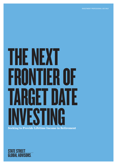# The Next FRONTIER OF TARGET DATE Investing **Seeking to Provide Lifetime Income in Retirement**

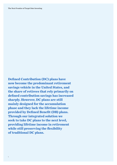**Defined Contribution (DC) plans have now become the predominant retirement savings vehicle in the United States, and the share of retirees that rely primarily on defined contribution savings has increased sharply. However, DC plans are still mainly designed for the accumulation phase and they lack the lifetime income provided by Defined Benefit (DB) plans. Through our integrated solution we seek to take DC plans to the next level, providing lifetime income in retirement while still preserving the flexibility of traditional DC plans.**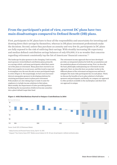#### From the participant's point of view, current DC plans have two main disadvantages compared to Defined Benefit (DB) plans.

First, participants in DC plans have to bear all the responsibility and uncertainty for investing and drawing down their savings by themselves, whereas in DB plans investment professionals make the decisions. Second, unless they purchase an annuity and very few do, participants in DC plans are fully exposed to the risk of outliving their savings. With steadily increasing life expectancy and median defined contribution savings balances of only \$76,000, it is no wonder that concerns regarding retirement consistently top the list of Americans' financial concerns.<sup>1,2</sup>

The landscape for plan sponsors is also changing. Until recently, most sponsors viewed defined contribution plans primarily as a savings vehicle, and many participants rolled their assets out of the plans at retirement. Many plans have started to see flows turn negative in recent years, and this trend is expected to strengthen over the next decade as more participants begin to retire (Figure 1). Not surprisingly, we have seen increased interest among plan sponsors in developing solutions for retaining participant assets in plans post-retirement. Policymakers are also taking steps to make it easier for employers to include income solutions in their plans. Most notably, the Department of Labor provided guidance facilitating the incorporation of deferred income annuities into a plan's default target date fund.

The retirement income approach that we have developed provides an integrated solution for both the accumulation and decumulation phases of retirement saving. First, we describe the basic philosophy underpinning our retirement income approach. Next, we describe how our product works in the different phases of the retirement saving process and how it mitigates the main risks participants face in each phase. Third, we discuss the benefits of an in-plan solution to both plan sponsors and participants; and finally, we compare our approach to other products available in the marketplace and show how our approach is unique.

#### **Figure 1: 401k Distributions Started to Outpace Contributions in 2014**



Source: Cerulli 2015, US Retirement Market.

<sup>1</sup> Gallup Economy and Personal Finance Survey, April 6–10, 2016.

<sup>2</sup> Vanguard "How America Saves 2015" Median account balance for 55–64 year old participants in defined contribution plans.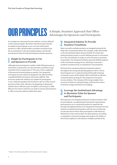#### Our Principles A Simple, Seamless Approach that Offers Advantages for Sponsors and Participants

In creating our retirement income solution, we have adhered to three key principles. We believe that the product should be simple for participants to use correctly and for plan sponsors to offer; should enable a seamless transition from the accumulation to the decumulation phase; and should provide good value for both participants and plan sponsors.

#### Simple for Participants to Use and Sponsors to Provide

Although most participants consider stable lifelong income in retirement a top priority, very few purchase annuities (a type of product that can guarantee it\*) because of the complexity of the process for purchasing an annuity. Our integrated retirement income solution is designed to be offered within a qualified default investment alternative (QDIA). This structure makes the solution very simple for participants to use, while leaving them the freedom to opt out of the income purchase if they wish. Likewise, by designing an integrated solution that is offered as part of a QDIA, and acting as a 3(38) fiduciary for insurer selection, we make it easy for plan sponsors to offer an income solution within their plan. 1

#### Integrated Solution To Provide Seamless Transitions 2

Most currently available products are designed primarily for either the accumulation phase (for example, target date funds) or the decumulation phase (payout funds). If a target date fund participant wants to receive lifelong income in retirement, he or she currently has to make an active decision to purchase it separately. Our integrated solution spans the different phases of the retirement saving process, allowing it to provide a seamless transition from accumulation to decumulation.

We know that communicating the integrated solution throughout the saving and spending phases will be critical if participants are to understand the full benefit of having an annuity as part of the default. SSGA will build an effective communications strategy for the integrated retirement income solution. The strategy will leverage insights from research on behavior and psychology, and from the science of intuitive design and behavioral nudging.

#### Leverage the Institutional Advantage to Maximize Value for Sponsor and Participants 3

Plan sponsors are uniquely positioned to help maximize value for participants. As sophisticated investment organizations, plan sponsors are in a powerful position to negotiate the pricing and implementation of an integrated retirement income solution on behalf of participants, with the aim of achieving an outcome that is better than participants could obtain by themselves in the retail market. For plan sponsors, providing a competitive retirement package may improve the ability to attract key employees and enhance workplace productivity.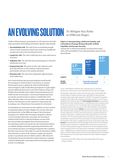## AN EVOLVING SOLUTIO

#### To Mitigate Key Risks in Different Stages

Unlike a DB participant, participants in a DC plan bear all of the risks associated with funding retirement. Specific risks include:

- • **Accumulation risk** The risk of not accumulating enough assets to fund retirement, which may result from insufficient savings rate and/or low investment returns
- • **Longevity risk** The risk of outliving one's assets and sources of income
- • **Inflation risk** The risk that the purchasing power of income will decline over time
- • **Sequencing risk** The point-in-time risk related to asset price fluctuations; in this solution, sequencing risk is particularly relevant to the annuity purchase
- • **Decision risk** The risk of not making the right decisions at the right times

Our research shows that most participants would benefit from using part of their balance to purchase an annuity. Not having to protect against the risk of outliving their assets (longevity risk) would allow participants to make higher annual withdrawals from the rest of their balance (Figure 2). Despite these benefits and a widely expressed preference for stable income in retirement, very few participants purchase an annuity, partly because it requires considerable active effort (decision risk) to choose between providers and annuity features. Participants are also exposed to sequencing risk in making a one-off purchase of an annuity for retirement.

In developing our retirement income solution, we have created an integrated approach that mitigates the various risks that participants face in the different stages of the retirement saving process. Rather than forcing participants to choose a new investment option for each stage, the investment solution itself evolves so that participants can stay with the same product throughout their retirement journey. Incorporating a deferred annuity into the retirement solution as a default mitigates both the sequencing and decision risk of an annuity purchase, providing participants with a solution that they may not have been able to create by themselves. SSGA also performs a review of the annuity to make sure that the product is prudently selected. SSGA is able to offer this level of integration by partnering with a major insurance company and by facilitating the conversation between the plan sponsor and the recordkeeper.

#### **Figure 2: Incorporating a Deferred Annuity and a Drawdown Strategy Retains Benefits of Both Liquidity and Income Security**

Annual rate at which participants can draw down assets with a 95% probability of not exhausting their assets during their lifetime



Source: SSGA Defined Contribution team, December 2015. For illustrative purposes only. Annuity prices are as of December 2015 and may have changed. All calculations made using mortality rates from the Society of Actuaries RP-2014 mortality tables for healthy annuitants using a 50/50 blend of male and female mortality and ISG capital market forecasts for Q4/2015. The median life-expectancy at age 65 in these tables is 85. Drawdown assumptions include a 2% cost of living adjustment and a retirement age of 65. **Self-managed drawdown:** we assume the participant has all their retirement assets in a 35/65 portfolio with an expected return of 4.5% and a risk level of 7.3%. The drawdown rate is the annual rate at which a participant could draw down their assets with a 95% probability of not exhausting their assets during their lifetime. **Hybrid:** we assume the participant uses 25% of their retirement assets to purchase a 50% joint and survivor annuity with a return of premium benefit and a 2% COLA which starts payments at age 80 and invests the remainder of the assets in a 35/65 portfolio with an expected return of 4.5% and a risk level of 7.3%. The hybrid drawdown rate is the continuous annual rate at which the participant could draw down their assets between the ages 65 and 80 and use the remainder of their assets to supplement their annuity income after the age of 80. **Annuity:** the annual payment that the participant would receive if they used all their retirement assets to purchase an immediate 50% joint and survivor annuity with a 2% COLA starting payments at age 65. Calculations for the self-managed drawdown and the drawdown portion of the hybrid solution are based on simulations (simulation count = 100,000) and do not reflect the effects of unforeseen economic and market factors on decision-making. Annuity prices are based on MetLife quotes for December 2015. Expected returns are based upon estimates and reflect subjective judgments and assumptions.

<sup>3</sup> Income security past 80 is subject to the claims-paying ability of the issuing insurance company.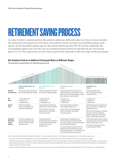## **RETIREMENT SAVING PROCESS**

In order to better understand how the solution addresses different risks over time, we have divided the retirement saving process into three main phases: (1) the saving or accumulation phase until age 65, (2) the drawdown phase age 65–80 and (3) elderhood after 80. We further subdivide the accumulation phase into (1a) the core accumulation phase before 55 and (1b) the pre-retirement phase 55–65. The importance of each risk at a given time depends on the life stage of the participant.

Decumulation Strategy

#### **Our Solution Evolves to Address Participant Risks at Different Stages**

**The information contained below is for illustrative purposes only**

|                                                              | ACCUMULATION Strategy                                                                                          |                                                                                                | <sup>1110</sup> <sup>idlion Strategy</sup>                                                                                                                                                                | Guaranteed Lifelong Income                                                                                                                                |
|--------------------------------------------------------------|----------------------------------------------------------------------------------------------------------------|------------------------------------------------------------------------------------------------|-----------------------------------------------------------------------------------------------------------------------------------------------------------------------------------------------------------|-----------------------------------------------------------------------------------------------------------------------------------------------------------|
|                                                              | <b>CORE ACCUMULATION (&lt;55)</b><br><b>PHASE 1A</b>                                                           | PRE-RETIREMENT (55-65*)<br><b>PHASE 1B</b>                                                     | <b>DRAWDOWN (65*-80)</b><br><b>PHASE 2</b>                                                                                                                                                                | <b>ELDERHOOD (&gt;80)</b><br><b>PHASE 3</b>                                                                                                               |
| <b>Portfolio</b><br><b>Characteristics</b>                   | Accumulates assets and operates<br>like a normal target date strategy                                          | Allocates a portion of the fund to<br>an annuity pre-funding strategy                          | Income distributed through the sale of<br>investment assets via a drawdown, while<br>assets in the pre-funding strategy are used<br>to buy deferred income annuities                                      | Income distributed in the<br>form of quaranteed <sup>4</sup> lifelong <sup>5</sup><br>annuity <sup>6</sup> payments                                       |
| Key<br><b>Risks</b>                                          | 1. Accumulation risk<br>2. Decision risk<br>3. Sequencing risk                                                 | 1. Sequencing risk<br>2. Decision risk<br>3. Accumulation risk                                 | 1. Decision risk<br>2. Sequencing risk<br>3. Inflation risk                                                                                                                                               | 1. Longevity risk<br>2. Decision risk<br>3. Inflation risk                                                                                                |
| Current<br>Gaps                                              | Only half of employers<br>auto-enroll employees into<br>retirement savings plans                               | Limited quidance for decisions<br>related to post-retirement phase                             | Very few participants annuitize to<br>protect against longevity risk                                                                                                                                      |                                                                                                                                                           |
|                                                              |                                                                                                                | Current TDFs do not protect<br>against decision risks related<br>to annuity purchase           | Current TDFs do not protect against<br>market and decision risks related<br>to annuity purchase                                                                                                           | More than half of people in advanced<br>life stage suffer from significant<br>cognitive impairment, limiting their<br>ability to make effective decisions |
| Integrated<br><b>Retirement</b><br>Income<br><b>Solution</b> | Auto-enroll employees into<br>age-appropriate target date<br>funds at a sufficiently high<br>contribution rate | The target date fund<br>automatically starts to allocate to<br>an annuity prefunding portfolio | The participant is defaulted into an<br>annuity purchase at 65 (with the ability<br>to opt out), using the assets they have built                                                                         | At 80, the participant starts to receive<br>automatic payments from the deferred<br>annuity they purchased at 65                                          |
|                                                              |                                                                                                                | to prepare for annuity<br>purchase at 65                                                       | up in the prefunding portfolio<br>Participants make withdrawals from the<br>drawdown fund to provide income until<br>annuity payments start. The drawdown fund<br>will include inflation-protected assets | The annuity incorporates a COLA<br>to protect against inflation                                                                                           |

Source: State Street Global Advisors Defined Contribution; \* Assumed age at retirement; The information contained above is for illustrative purposes only.

<sup>4</sup> An annuity contract's financial guarantees are solely the responsibility of and are subject to the claims-paying ability of the issuing insurance company.

<sup>5</sup> Average US life expectancy at age 80 is 9.48 years (UN population projections). The annuity described in this paper incorporates a return of premium benefit. This means that if the participant (and spouse in the case of a J&S annuitant) dies before they have recouped their initial premium, the difference between the initial premium and the payments received will be returned to the estate.

<sup>6</sup> Annuities available via SSGA are issued by third-party insurance companies, which are not affiliated with any State Street Bank and Trust Company entity, including SSGA.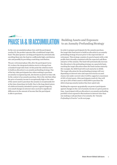## Phase 1a & 1b Accumulation

In the core accumulation phase (1a), until the participant reaches 55, the product operates like a traditional target date fund. The plan sponsor can help participants by automatically enrolling them into the fund at a sufficiently high contribution rate and possibly by providing a matching contribution.

The pre-retirement phase (1b), after the participant turns 55, is where the integrated solution starts to diverge from a standard target date fund. At this point the solution starts to build an allocation to an annuity prefunding strategy. One of the key risks participants face when seeking to purchase an annuity is sequencing risk, also known as point-in-time risk. In the context of an annuity purchase, this is the risk that either the price of annuity income is exceptionally high or the value of the assets used to purchase the annuity is exceptionally low at the time of purchase (or both). Due to the long-dated nature of a deferred annuity intended to protect against longevity, even small changes in interest rates can lead to significant differences in the amount of income that the participant is able to purchase.

#### Building Assets and Exposure to an Annuity Prefunding Strategy

In order to prepare participants for the annuity purchase, the target date fund starts to build an allocation to an annuity prefunding strategy 10 years prior to the expected date of retirement. This strategy consists of a pool of assets with a risk profile that is broadly consistent with the expected cash flows and price of the annuity. The fund will systematically increase the allocation to the prefunding strategy on a quarterly basis, reaching the target allocation when the fund reaches maturity (for example, the 2020 fund will reach maturity in 2020). The target allocation for the prefunding strategy will vary depending on interest rates and expected returns on asset classes, but under current rules it will be capped at a maximum of 25% of total assets. After participants reach 65, they will use up to 25% of their assets or \$125,000 to purchase the deferred group annuity (unless they have opted out).

Building the exposure up gradually can protect participants against changes in the cost of annuity income at a given point in time. A participant with an allocation to an annuity prefunding portfolio is less exposed to fluctuations in interest rates than one making a cash purchase of an annuity. *See "Annuity Prefunding in Practice" on the next page.*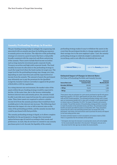#### **Annuity Prefunding Strategy in Practice**

The pre-funding strategy helps to mitigate the sequencing risk associated with an annuity purchase by building up exposure to annuity prices over 10 years. The objective of the prefunding strategy is to invest in a pool of assets that have a risk profile broadly consistent with the expected cash flows and pricing of the annuity. These assets include fixed income securities such as long-maturity investment grade corporate bonds, Treasury securities and high yield corporate bonds. The fund steadily increases its allocation to the prefunding strategy to reach the target level when the fund reaches its target year. The target level for the prefunding strategy may change over time, depending on asset class forecasts and the expected level of income from the annuity. The amount of assets the participant may ultimately use to pay the premium for the Qualified Longevity Annuity Contract currently is capped at the greater of \$125,000 or 25% by regulations.

In a rising interest rate environment, the market value of the assets within the pre-funding strategy would be expected to decline. At the same time, due to the inverse relationship between interest rates and annuity prices, the annuity would be able to provide more expected income for a given premium value. Thus, fewer assets are required to achieve a similar income level from the annuity purchase than would have been available prior to the interest rate increase. The following chart illustrates the impact of a rise or fall in interest rates on the value of the prefunding portfolio, and the annuity income that could be purchased with that portfolio.

The annuity prefunding strategy is liquid, so it allows complete flexibility for the participants to change their investment option between ages 55 and 65 according to their needs and preferences. As such, they do not have to commit to any annuity purchases prior to 65. Second, the liquidity of the annuity

prefunding strategy makes it easy to withdraw the assets in the event that the participant decides to change employers and roll their savings over to the new employer's plan.7 Last, the annuity prefunding strategy is relatively simple to administer and record keep, and is cost-effective at relatively low scale.

| As <b>Interest Rates</b> go up, | cost of the <b>Annuity</b> goes down. |
|---------------------------------|---------------------------------------|
|---------------------------------|---------------------------------------|

#### **Estimated Impact of Changes in Interest Rates** On Value of Prefunding Portfolio and Annuity Income

| <b>Interest Rate Level</b> | <b>Prefunding Strategy</b><br><b>Estimated Value</b> | <b>Estimated</b><br><b>Monthly Benefit</b> |  |
|----------------------------|------------------------------------------------------|--------------------------------------------|--|
| <b>December 2015 Rates</b> | 100,000                                              | 1.260                                      |  |
| $+100$ bps                 | 79.910                                               | 1.090                                      |  |
| $-100$ bps                 | 125,670                                              | 1 2 7 7                                    |  |

These payout rates are estimates for a joint annuity purchased at age 65 with payout beginning at age 80, a 2% COLA, death benefit and cash refund, assuming a 50% male and 50% female population. The estimated prefunding strategy value is based upon an instantaneous parallel shift in rates with no change in credit spreads based on interest rates as of December 31st 2015. The impact of duration and convexity are included. The portfolio duration of the prefunding strategy portfolio is assumed to match the duration of the estimated annuity cash flows. The estimated monthly benefits are based upon MetLife quotes as of December 2015. These calculations assume that the value of the prefunding portfolio does not exceed 25% of the participants' total assets; the actual amount used to purchase the annuity will depend on the total ending portfolio value.

The above estimates based on certain assumptions and analysis made by SSGA. There is no guarantee that the estimates will be achieved.

<sup>7</sup> Participants who leave the fund prior to receiving their annuity will not be eligible for the income benefits described in this document. Participants who are not in the correct fund for their age may not obtain the income benefits.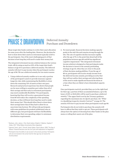### PHASE 2 DRAWDOWN Deferred Annuity Purchase and Drawdown

Many target date funds continue to evolve their asset allocation for some years after the landing date. However, the decision for how to draw down their assets in retirement typically is left to the participants. One of the most challenging parts of that decision is how long they will need to make their money last.

The integrated retirement income solution balances the various trade-offs by using as much as 25% of the target date fund's balance at age 65 to purchase a deferred annuity. The deferred annuity will start to pay income when the participant reaches the age of 80. We use a deferred annuity for two main reasons:

1. Using a deferred annuity enables us to use only a portion of the participant's assets to provide insurance against longevity risk, while maintaining the flexibility to draw down the remaining 75% of assets at their own pace. Research and practical experience has shown that people are far more willing to annuitize part rather than all of their savings and that early in retirement participants may need considerable flexibility.8 For participants, knowing that they will receive a guaranteed income from 80 will reduce the complexity of the spending decision, as they will know how long they need to make their money last. This should allow them to draw down their savings faster than if they had to allow for an uncertain time horizon. We will provide participants with some guidelines for prudent withdrawal rates at different ages, but participants will have full flexibility to determine their own spending, subject to minimum distribution requirements.

8 Beshears, John, James J. Choi, David Laibson, Brigitte C. Madrian, Stephen P. Zeldes, 2013 "What Makes Annuitization More Appealing".

- <sup>9</sup> Agarwal, Sumit, John C. Driscoll, Xavier Gabaix, David Laibson, 2009 "The Age of Reason: Financial Decisions over the Life-Cycle with Implications for Regulation"
- <sup>10</sup> Participants have the ability to opt out prior to the annuity purchase. Participants who are not invested in the correct fund for their age may not receive the income product.

2. For most people, financial decision-making capacity peaks in the mid-50s and remains strong through the 60s. The rate of cognitive decline increases rapidly after the age of 70, to the point that about half of the population between ages 80 and 89 has significant cognitive impairment.<sup>9</sup> The integrated retirement income solution is designed so that participants make the decision to invest in the annuity prefunding strategy at age 65, when they are close to the peak of their decision-making abilities. From the age of 80 on, participants will receive steady income from the deferred income annuity, providing security that they will not outlive their savings and relieving them of the need to make significant financial decisions at a time when they are likely to have diminished capacity to do so.

Once participants reach 65, provided they are in the right fund for their age, a portion of their accumulated balance, up to the lesser of 25% or \$125,000, will be used to purchase a deferred annuity.10 The upper limit is set by the Treasury guidance regarding the maximum size of a QLAC purchase. *See "What is a Qualifying Longevity Annuity Contract?" on page 10. The* annuity will start to pay income when participants reach age 80.

Participants who do not wish to purchase the annuity will have to affirm that they wish to opt out. These participants will always have the option of choosing from other funds on the plan menu or rolling their assets out of the plan.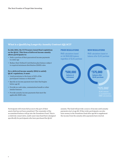#### **What is a Qualifying Longevity Annuity Contract (QLAC)?**

#### **In July 2014, the US Treasury issued final regulations on the QLAC. This form of deferred income annuity allows participants to:**

- Defer a portion of their guaranteed income payments to a later age
- Reduce their Defined Contribution plan balance subject to required minimum distribution (RMD) rules

#### **For a deferred income annuity (DIA) to satisfy QLAC regulations, it must:**

- • Limit premiums to the lesser of 25% of the participant's balance or \$125,000\*
- Specify an income payment start date that begins before age 85
- Provide no cash value, commutation benefit or other similar features
- • Provide annuity income payments that meet the applicable RMD rules

#### **Prior Regulations**

RMD calculations based on full \$500,000 balance regardless of QLAC purchase



#### **New Regulations**

RMD calculations based on balance after QLAC purchase



**\$ 125,000\***

Participants will retain full access to the part of their assets that has not been annuitized. The remainder of the accumulated balance will go into the Drawdown Fund. This is a relatively conservative, multi-asset class fund that is designed specifically for participants who have purchased the QLAC

annuity. The fund will provide a source of income until annuity payments start at age 80. If they wish, participants can also leave money in the Drawdown fund after age 80 to supplement the income from the annuity after payments have started.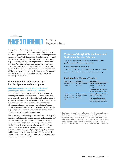### PHASE 3 ELDERHOOD Annuity Payments Start

Once participants reach age 80, they will start to receive payments from the deferred income annuity they purchased at 65. These payments will provide the participant with protection against the risk of outliving their assets and will relieve them of the burden of making financial decisions at a time when they may be suffering from cognitive impairment or other health problems. All participants will receive a return of premium guarantee, meaning that if they die before they have recouped their initial premium, the remainder of the premium payments will be returned to their designated beneficiaries. The annuity also will have a Cost of Living Adjustment (COLA) to help protect against inflation.<sup>11</sup>

#### In-Plan Annuities Offer Advantages for Plan Sponsors and Participants

#### **Plan Sponsors Can Leverage Their Institutional Advantage to Improve Participant Outcomes**

For plan sponsors, providing a retirement income solution as an in-plan solution offers a number of benefits. First, plan sponsors can leverage their scale and institutional investment knowledge to offer participants an integrated solution to which they would not have access otherwise. This institutional advantage can improve participant results both before and during retirement. Providing an attractive retirement package may help plan sponsors to position themselves as an employer of choice in attracting and retaining talent.

Second, keeping assets in the plan after retirement is likely to be beneficial for both employers and employees. The retirement of the baby boomers will lead to asset outflows from DC plans. Plan sponsors seeking to retain scale may want to provide participants with an investment solution that allows them to keep their assets within the sponsor's plan during their retirement. When asked, most participants say they consider stable income in retirement to be "a must." Most trust their employer and would welcome assistance from their employers in how to save for retirement. <sup>12</sup>

#### **Features of the QLAC in the Integrated Retirement Income Solution**

The QLAC that we will use in our retirement income product includes the following features:

#### **Cost of Living Adjustment (COLA)**

The annuity payments will rise by a fixed percentage each year to protect against increases in the cost of living.<sup>11</sup>

#### **Death Benefits and Return of Premium**

| <b>Annuity Type</b>              | <b>Single Life</b>                                  | <b>Joint &amp; Survivor</b>                                                                                                                     |  |  |
|----------------------------------|-----------------------------------------------------|-------------------------------------------------------------------------------------------------------------------------------------------------|--|--|
| Participant dies<br>before 80    | Return of premium<br>to estate                      | <b>Surviving Spouse assumes</b><br>ownership of QLAC (at 50%<br>or $75%$ )<br>If both spouses die there is a<br>return of premium to the estate |  |  |
|                                  |                                                     |                                                                                                                                                 |  |  |
| Participant<br>(and/or surviving | Cash refund of un-<br>recouped premium<br>to estate | <b>Surviving Spouse will receive</b><br>50% (or 75% annuity)                                                                                    |  |  |
| spouse) dies after<br>age 80     |                                                     | <b>If Surviving Spouse dies</b><br>there will be a cash refund of<br>un-recouped premium to estate                                              |  |  |

<sup>11</sup> There is no guarantee that the income from the annuity will keep pace with the rate of inflation generally, or for certain types of services including healthcare costs.

<sup>12</sup> SSGA Biannual DC Investor Survey July 2013. Partnered with TRC Market Research, an independent marketing research firm located in suburban Philadelphia 20-minute online survey Panel of 1,498 verified 401(k), 403(b), 457 and profit-sharing plan participants and retirees, age 40 to 70, who were actively engaged with their plans.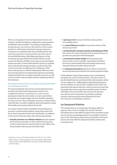Third, recent guidance from the Department of Labor and Treasury clarifies the fiduciary implications to plan sponsors of offering in-plan annuities.13 According to this guidance, the plan sponsor can outsource the selection of the annuity provider to a third-party investment manager. Insurance companies are regulated at the state and federal level, and most states guarantee annuity products up to the value of at least \$100,000 (many offer higher guarantees). As the investment manager, State Street Global Advisors would assume the fiduciary liability of choosing and monitoring the annuity provider, to ensure both that the annuity is a prudent choice and that the annuity provider is credit worthy. This structure provides an additional level of fiduciary relief above state guarantees. SSGA's Independent Fiduciary Team has more than 25 years of institutional experience providing independent fiduciary oversight so that plan sponsors are able to focus on their corporate goals and the continued growth of their business.

#### **Participants Gain Access to a Unique, Integrated Product at an Institutional Price**

For most participants, the process of researching insurance providers and selecting the appropriate annuity is too complicated and time consuming. As a result, very few participants make the active choice to convert part of their savings into an annuity, despite the clear benefits of doing so for many investors. By providing the annuity as a default option in the DC plan, we make it simple for these participants to enjoy the benefits of an annuity without the hassle.

An in-plan contract makes it possible for all participants to purchase a professionally designed, integrated product that has no direct equivalent in the retail marketplace. In addition to the actual annuity purchase, this solution incorporates:

• **Annuity purchase as a default solution:** the plan sponsor and investment manager use their institutional expertise to select and purchase an annuity with no active effort from the participant (who may opt out if they wish)

- • A **pricing review** to ensure that the annuity product is reasonably priced
- • An **annual fiduciary review** to assess the solvency of the insurance provider
- • A **professionally managed annuity prefunding portfolio** that reduces the sequencing risk of the annuity purchase yet provides the participant with full liquidity
- • A **customized annuity design** that incorporates the features that are most valuable to participants (inflation protection, death benefit) while eliminating unnecessary, expensive features (market risk protection)
- • An **integrated drawdown** fund from which to draw down income during the period before the annuity payments begin

In this solution, all participants gain access to institutional pricing for the actual annuity purchase. They do not have to pay the distribution fees associated with retail annuities, which can be as high as 4%. Additionally, by defaulting participants into the solution, we may be able to mitigate some of the costs associated with adverse selection. Adverse selection means that the people who choose to purchase annuities tend to be those with higher-than-normal life expectancies; this dynamic increases the price of annuities. According to academic research, adverse selection may add between 2% and 5% to the price of immediate annuities.<sup>14</sup>

#### An Integrated Solution

The solution that we are proposing in this paper offers an approach that evolves to mitigate the specific risks that participants face at the different stages of the retirement saving process. Various competing products are available to solve for some of the risks that participants face during their retirement journey, but none offer the integrated, holistic solution that we propose here.

<sup>13</sup>Department of Labor, Field Assistance Bulletin No. 2015–02, July 13, 2015.

<sup>&</sup>lt;sup>14</sup> Webb, Anthony "Is Adverse Selection in the Annuity Market a Big Problem?" An Issue in Brief January 2006, Number 40, Center for Retirement Research at Boston College.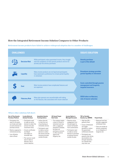#### How the Integrated Retirement Income Solution Compares to Other Products

**Retirement income products have failed to achieve widespread adoption due to a number of challenges:**

| <b>CHALLENGES</b> |                       |                                                                                                                                                             |  | <b>SSGA'S SOLUTION</b>                                                                    |
|-------------------|-----------------------|-------------------------------------------------------------------------------------------------------------------------------------------------------------|--|-------------------------------------------------------------------------------------------|
|                   | <b>Decision Risk</b>  | While participants value guaranteed income, they struggle<br>with the complexity of most annuity products and do not<br>actively opt into annuity purchases |  | <b>Annuity purchase</b><br>is part of the default                                         |
|                   | <b>Liquidity</b>      | Many income products are not liquid and participants<br>have expressed a preference for at least partial liquidity<br>in retirement                         |  | <b>Drawdown strategy provides</b><br>partial liquidity in retirement                      |
|                   | Cost                  | Most income products have complicated features and<br>are expensive                                                                                         |  | <b>Costs controlled through passive</b><br>management and longevity<br>targeted insurance |
|                   | <b>Fiduciary Risk</b> | Many plan sponsors are uncomfortable with taking<br>on the fiduciary risks associated with insurer selection                                                |  | <b>SSGA takes on fiduciary</b><br>role of insurer selection                               |

#### **Where other solutions fall short:**

| <b>Out-of-Plan Annuity</b>                                                                                                                                                                               | <b>In-plan Deferred</b>                                                                                                                                                                                                                                                       | <b>Immediate Annuity</b>                                                                                                                                                                                            | <b>LDI-based Target</b>                                                                                                                                                                                       | <b>Income Option in</b>                                                                                                                                                                                               | <b>TDF</b> w/Variable                                                                                                                                                                                                                                                      | <b>Payout Funds</b>                                                                                                                                   |
|----------------------------------------------------------------------------------------------------------------------------------------------------------------------------------------------------------|-------------------------------------------------------------------------------------------------------------------------------------------------------------------------------------------------------------------------------------------------------------------------------|---------------------------------------------------------------------------------------------------------------------------------------------------------------------------------------------------------------------|---------------------------------------------------------------------------------------------------------------------------------------------------------------------------------------------------------------|-----------------------------------------------------------------------------------------------------------------------------------------------------------------------------------------------------------------------|----------------------------------------------------------------------------------------------------------------------------------------------------------------------------------------------------------------------------------------------------------------------------|-------------------------------------------------------------------------------------------------------------------------------------------------------|
| <b>Purchase Platform</b>                                                                                                                                                                                 | <b>Annuity Purchase</b>                                                                                                                                                                                                                                                       | <b>Tracking Indices</b>                                                                                                                                                                                             | <b>Date Funds</b>                                                                                                                                                                                             | <b>Managed Accounts</b>                                                                                                                                                                                               | Annuity (e.g. GMWB)                                                                                                                                                                                                                                                        |                                                                                                                                                       |
| • Participants first<br>need to roll assets<br>out of plan and make<br>an active decision to<br>purchase annuity<br>• Retail as opposed to<br>institutional pricing<br>• Low utilization<br>when offered | • Participants need<br>to make an active<br>decision to select the<br>annuity from plan<br>investment menu<br>• Annuity certificates<br>are illiquid<br>and subject to<br>surrender fees<br>• Plan sponsor would<br>have to take on<br>fiduciary risk of<br>insurer selection | • Indices that aim<br>to track the cost<br>of purchasing an<br>immediate annuity<br>• Participants need<br>to make an active<br>decision to select<br>the annuity and the<br>insurance provider<br>outside the plan | • The strategy targets<br>a level of income in<br>retirement and may<br>offer a suggested<br>drawdown schedule.<br>but does not<br>purchase an annuity<br>or offer insurance<br>against the<br>longevity risk | Requires active<br>engagement from<br>the participant to<br>receive full benefit<br>from customization<br>• Participants need<br>to make an active<br>decision to purchase<br>an optional annuity<br>outside the plan | • High fees $I/M +$<br>quaranty fees)<br>• Excess withdrawals<br>can trigger<br>penalties or reduce<br>the quaranteed<br>withdrawal amounts<br>• Participants pay<br>quaranty fees during<br>accumulation and<br>through retirement<br>for a benefit they<br>may never use | • Balanced fund that<br>provides suggested<br>withdrawal rates<br>• Does not include an<br>annuity component<br>so no mitigation of<br>longevity risk |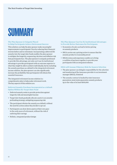### **SUMMARY**

#### **The Plan Sponsor is Uniquely Placed to Help Participants Achieve Retirement Success**

This solution can help the plan sponsor make meaningful improvements to participants' lives by reducing their financial worries before and in retirement. Incorporating a deferred life annuity into the target date funds enables the plan sponsor to mitigate the longevity, sequencing, decision and inflation risk that participants face. The plan sponsor is uniquely positioned to provide this advantage; not only can it use its institutional advantage to provide participants with an outcome superior to what they might be able to achieve individually, but by including the annuity purchase as a default in the integrated retirement income solution, the plan sponsor can also significantly increase the probability that participants will obtain this essential insurance.

The integrated retirement income solution is a comprehensive plan to help make retirement work. The key aspects of this solution are:

**Deferred Annuity Purchase Incorporated as a default Option Within the Target Date Fund**

- • Deferred annuity seeks to provide protection against longevity risk and meaningful income
- Target date funds gradually allocate assets to an annuity prefunding strategy, mitigating sequencing risk
- The participant obtains the annuity as a default, without the need for action unless they decide to opt out
- Participants can draw down assets at their own pace in the early years of retirement, without the risk of outliving their savings
- • Holistic, integrated product design

#### **The Plan Sponsor Can Use Its Institutional Advantages to Provide Better Outcomes for Participants**

- • Economies of scale can lead to better pricing on annuity products
- • SSGA carries out a pricing review to ensure that the annuity product is reasonably priced
- SSGA's status and experience enable us to bring a coalition of partners together to provide your participants with an integrated solution

#### **SSGA will Assume Fiduciary Risk for Insurer Selection**

- The plan sponsor can delegate responsibility for the selection and monitoring of the insurance provider to an investment manager (SSGA), if desired
- • The annuity contract is backed by state insurance guarantees; most states guarantee annuity products up to the value of at least \$100,000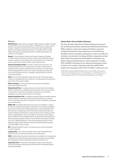#### **Glossary**

**3(38) Fiduciary** A plan sponsor may engage a 3(38) investment manager to evaluate and select both insurers and specific products. A 3(38) fiduciary is a bank, insurance company or registered investment advisor that assumes legal responsibility for selecting, monitoring and replacing investments. For example, SSGA is a 3(38) fiduciary that routinely represents plan sponsors in DB plan annuitizations and could serve in this capacity.

**Annuity** A financial product offered by an insurance company and designed to accept and grow funds from an individual and then, upon annuitization, pay out a stream of payments to the individual over a specified period of time. Annuities are often used to secure steady cash flow during retirement years.

**Annuity Prefunding Portfolio** A portfolio of fixed income instruments, such as long-dated government and corporate bonds, that aims to track the price of a deferred income annuity by matching the key rate durations and credit spreads of the prefunding portfolio to those of the annuity. By building up the exposure to the annuity purchase over time, it is possible to reduce the point-in-time risk of the annuity purchase.

**COLA** The cost of living adjustment means that the value of the annuity payout increases by a predetermined amount each year. This helps preserve the purchasing power of the annuity against inflation.

**Deferred Annuity** An annuity that does not start payments immediately, but at some specified future date.

**Defined Benefit Plan** An employer-sponsored retirement plan where employee benefits are derived from a specified formula using factors such as, but not limited to, salary history and duration of employment. Investment risk and portfolio management are entirely under the control of the company.

**Defined Contribution Plan** An employer-sponsored retirement whereby employees make contributions to accumulate wealth during their working years to provide income in retirement. Often times, an employer will match an employee's contribution, up to a certain amount.

**ERISA 3(38)** The Employee Retirement Income Security Act (ERISA) is a Federal law that sets standards of protection for individuals in most voluntarily established, private-sector retirement plans. ERISA requires plans to provide participants with plan information, including important facts about plan features and funding; sets minimum standards for participation, vesting, benefit accrual, and funding; provides fiduciary responsibilities for those who manage and control plan assets; requires plans to establish a claims and appeals process for participants to get benefits from their plans; gives participants the right to sue for benefits and breaches of fiduciary duty; and if a defined benefit plan is terminated, guarantees payment of certain benefits through a Federally chartered corporation, the Pension Benefit Guaranty Corporation (PBGC). (Source: [dol.gov](http://dol.gov)).

**IRA** Individual Retirement Account, an investment account used by individuals to save for retirement.

**Longevity Risk** The risk that an individual will live longer than expected with the potential result of exhausting all income sources before death.

**QDIA** Qualified Default Investment Alternatives are investments such as target date or balanced fund investments plan that plan sponsors are allowed to automatically place participants who do not specifically chose other investments into.

**Target Date Fund** An investment fund designed to adjust an asset allocation mix over time typically by becoming more conservative as the target date (usually retirement) approaches.

#### **About State Street Global Advisors**

For four decades, State Street Global Advisors has served the world's governments, institutions and financial advisors. With a rigorous, risk-aware approach built on research, analysis and market-tested experience, we build from a breadth of active and index strategies to create cost-effective solutions. As stewards, we help portfolio companies see that what is fair for people and sustainable for the planet can deliver long-term performance. And, as pioneers in index, ETF, and ESG investing, we are always inventing new ways to invest. As a result, we have become the world's third largest asset manager with US \$2.72 trillion\* under our care.

\*AUM reflects approximately \$32.9 billion (as of June 30, 2018), with respect to which State Street Global Advisors Funds Distributors, LLC (SSGA FD) serves as marketing agent; SSGA FD and State Street Global Advisors are affiliated.